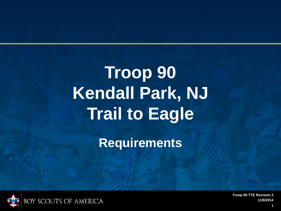# **Troop 90 Kendall Park, NJ Trail to Eagle**

**Requirements**

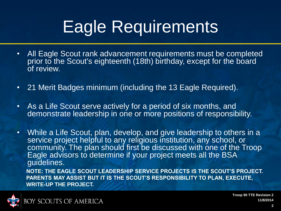## Eagle Requirements

- All Eagle Scout rank advancement requirements must be completed prior to the Scout's eighteenth (18th) birthday, except for the board of review.
- 21 Merit Badges minimum (including the 13 Eagle Required).
- As a Life Scout serve actively for a period of six months, and demonstrate leadership in one or more positions of responsibility.
- While a Life Scout, plan, develop, and give leadership to others in a service project helpful to any religious institution, any school, or community. The plan should first be discussed with one of the Troop Eagle advisors to determine if your project meets all the BSA guidelines.

**NOTE: THE EAGLE SCOUT LEADERSHIP SERVICE PROJECTS IS THE SCOUT'S PROJECT. PARENTS MAY ASSIST BUT IT IS THE SCOUT'S RESPONSIBILITY TO PLAN, EXECUTE, WRITE**‐**UP THE PROJECT.**

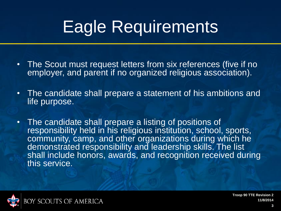## Eagle Requirements

- The Scout must request letters from six references (five if no employer, and parent if no organized religious association).
- The candidate shall prepare a statement of his ambitions and life purpose.
- The candidate shall prepare a listing of positions of responsibility held in his religious institution, school, sports, community, camp, and other organizations during which he demonstrated responsibility and leadership skills. The list shall include honors, awards, and recognition received during this service.

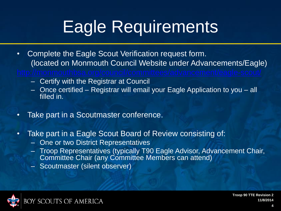## Eagle Requirements

- Complete the Eagle Scout Verification request form. (located on Monmouth Council Website under Advancements/Eagle)
	- Certify with the Registrar at Council
	- Once certified Registrar will email your Eagle Application to you all filled in.
- Take part in a Scoutmaster conference.
- Take part in a Eagle Scout Board of Review consisting of:
	- One or two District Representatives
	- Troop Representatives (typically T90 Eagle Advisor, Advancement Chair, Committee Chair (any Committee Members can attend)
	- Scoutmaster (silent observer)

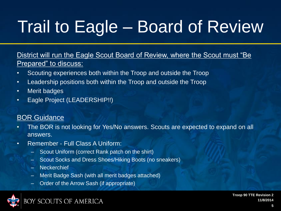# Trail to Eagle – Board of Review

District will run the Eagle Scout Board of Review, where the Scout must "Be Prepared" to discuss:

- Scouting experiences both within the Troop and outside the Troop
- Leadership positions both within the Troop and outside the Troop
- Merit badges
- Eagle Project (LEADERSHIP!!)

#### **BOR Guidance**

- The BOR is not looking for Yes/No answers. Scouts are expected to expand on all answers.
- Remember Full Class A Uniform:
	- Scout Uniform (correct Rank patch on the shirt)
	- Scout Socks and Dress Shoes/Hiking Boots (no sneakers)
	- Neckerchief
	- Merit Badge Sash (with all merit badges attached)
	- Order of the Arrow Sash (if appropriate)

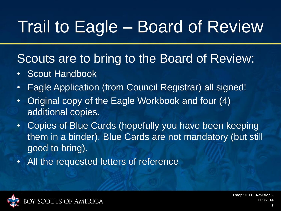# Trail to Eagle – Board of Review

### Scouts are to bring to the Board of Review:

- Scout Handbook
- Eagle Application (from Council Registrar) all signed!
- Original copy of the Eagle Workbook and four (4) additional copies.
- Copies of Blue Cards (hopefully you have been keeping them in a binder). Blue Cards are not mandatory (but still good to bring).
- All the requested letters of reference

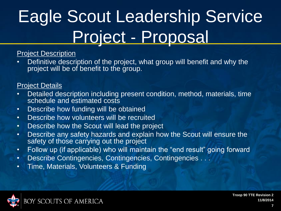# Eagle Scout Leadership Service Project ‐ Proposal

#### Project Description

Definitive description of the project, what group will benefit and why the project will be of benefit to the group.

#### Project Details

- Detailed description including present condition, method, materials, time schedule and estimated costs
- Describe how funding will be obtained
- Describe how volunteers will be recruited
- Describe how the Scout will lead the project
- Describe any safety hazards and explain how the Scout will ensure the safety of those carrying out the project
- Follow up (if applicable) who will maintain the "end result" going forward
- Describe Contingencies, Contingencies, Contingencies . . .
- Time, Materials, Volunteers & Funding

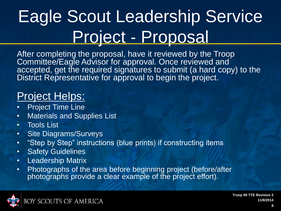# Eagle Scout Leadership Service Project ‐ Proposal

After completing the proposal, have it reviewed by the Troop Committee/Eagle Advisor for approval. Once reviewed and accepted, get the required signatures to submit (a hard copy) to the District Representative for approval to begin the project.

### Project Helps:

- **Project Time Line**
- Materials and Supplies List
- Tools List
- Site Diagrams/Surveys
- "Step by Step" instructions (blue prints) if constructing items
- Safety Guidelines
- Leadership Matrix
- Photographs of the area before beginning project (before/after photographs provide a clear example of the project effort).

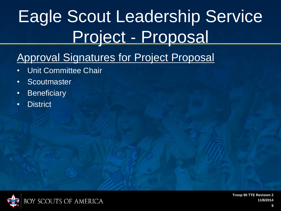# Eagle Scout Leadership Service Project ‐ Proposal

### Approval Signatures for Project Proposal

- Unit Committee Chair
- Scoutmaster
- Beneficiary
- **District**

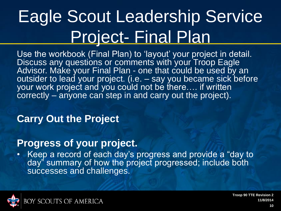## Eagle Scout Leadership Service Project- Final Plan

Use the workbook (Final Plan) to 'layout' your project in detail. Discuss any questions or comments with your Troop Eagle Advisor. Make your Final Plan - one that could be used by an outsider to lead your project. (i.e. – say you became sick before your work project and you could not be there…. if written correctly – anyone can step in and carry out the project).

#### **Carry Out the Project**

#### **Progress of your project.**

• Keep a record of each day's progress and provide a "day to day" summary of how the project progressed; include both successes and challenges.

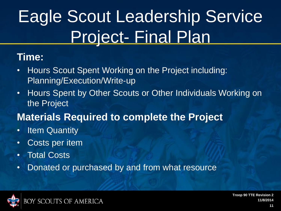# Eagle Scout Leadership Service Project- Final Plan

#### **Time:**

- Hours Scout Spent Working on the Project including: Planning/Execution/Write‐up
- Hours Spent by Other Scouts or Other Individuals Working on the Project

#### **Materials Required to complete the Project**

- Item Quantity
- Costs per item
- Total Costs
- Donated or purchased by and from what resource

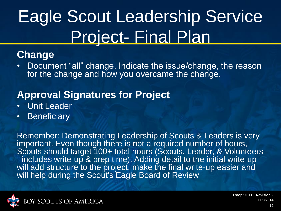# Eagle Scout Leadership Service Project- Final Plan

#### **Change**

• Document "all" change. Indicate the issue/change, the reason for the change and how you overcame the change.

#### **Approval Signatures for Project**

- **Unit Leader**
- Beneficiary

Remember: Demonstrating Leadership of Scouts & Leaders is very important. Even though there is not a required number of hours, Scouts should target 100+ total hours (Scouts, Leader, & Volunteers ‐ includes write‐up & prep time). Adding detail to the initial write‐up will add structure to the project, make the final write-up easier and will help during the Scout's Eagle Board of Review

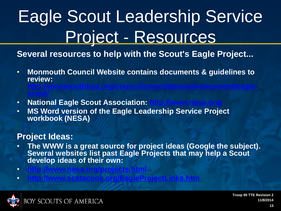# Eagle Scout Leadership Service Project ‐ Resources

**Several resources to help with the Scout's Eagle Project...**

- **Monmouth Council Website contains documents & guidelines to review:**
- **National Eagle Scout Association:**
- **MS Word version of the Eagle Leadership Service Project workbook (NESA)**

#### **Project Ideas:**

- **The WWW is a great source for project ideas (Google the subject). Several websites list past Eagle Projects that may help a Scout develop ideas of their own:**
- **<http://www.scatacook.org/EagleProjectLinks.htm>**

• **<http://www.nesa.org/projects.html>**

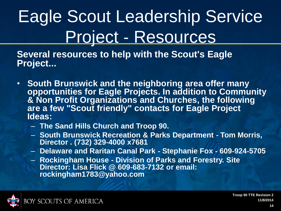# Eagle Scout Leadership Service Project ‐ Resources

**Several resources to help with the Scout's Eagle Project...**

- **South Brunswick and the neighboring area offer many opportunities for Eagle Projects. In addition to Community & Non Profit Organizations and Churches, the following are a few "Scout friendly" contacts for Eagle Project Ideas:**
	- **The Sand Hills Church and Troop 90.**
	- **South Brunswick Recreation & Parks Department** ‐ **Tom Morris, Director . (732) 329**‐**4000 x7681**
	- **Delaware and Raritan Canal Park** ‐ **Stephanie Fox** ‐ **609**‐**924**‐**5705**
	- **Rockingham House** ‐ **Division of Parks and Forestry. Site Director: Lisa Flick @ 609**‐**683**‐**7132 or email: rockingham1783@yahoo.com**

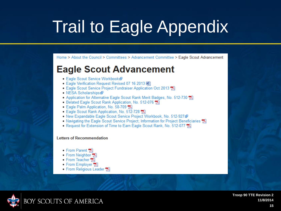Home > About the Council > Committees > Advancement Committee > Eagle Scout Advancement

#### **Eagle Scout Advancement**

- Eagle Scout Service Workbook图
- Eagle Verification Request Revised 07 16 2013 啊
- Eagle Scout Service Project Fundraiser Application Oct 2013
- NESA Scholarships 图
- Application for Alternative Eagle Scout Rank Merit Badges, No. 512-730
- Belated Eagle Scout Rank Application, No. 512-076 大
- Eagle Palm Application, No. 58-709 龙
- Eagle Scout Rank Application, No. 512-728
- New Expandable Eagle Scout Service Project Workbook, No. 512-927
- Navigating the Eagle Scout Service Project; Information for Project Beneficiaries  $\overrightarrow{V}$
- Request for Extension of Time to Earn Eagle Scout Rank, No. 512-077

#### **Letters of Recommendation**

- From Parent
- From Neighbor 人
- From Teacher
- From Employer 人
- From Religious Leader M

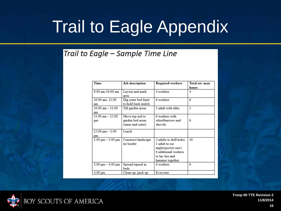#### Trail to Eagle - Sample Time Line

| Time                                | Job description     | Required workers        | Total est. man |
|-------------------------------------|---------------------|-------------------------|----------------|
|                                     |                     |                         | hours          |
| 9:00 am-10:00 am                    | Layout and mark     | 4 workers               | 4              |
|                                     | area                |                         |                |
| 10:00 am- 11:00                     | Dig outer bed limit | 6 workers               | 6              |
| am                                  | to hold back mulch  |                         |                |
| $10:00$ am $-11:00$                 | Till garden areas   | 1 adult with tiller     | $\mathbf{1}$   |
| am                                  |                     |                         |                |
| $11.00 \text{ am} - 12.00$          | Move top soil to    | 6 workers with          |                |
| pm                                  | garden bed areas    | wheelbarrows and        | 6              |
|                                     | (inner and outer)   | shovels                 |                |
| $12:00 \text{ pm} - 1:00$           | Lunch               |                         |                |
| pm                                  |                     |                         |                |
| $1:00 \text{ pm} - 3:00 \text{ pm}$ | Construct landscape | 2 adults to drill holes | 18             |
|                                     | tie border          | 1 adult to cut          |                |
|                                     |                     | angles(power saw)       |                |
|                                     |                     | 6 additional workers    |                |
|                                     |                     | to lay ties and         |                |
|                                     |                     | hammer together         |                |
| $3:00 \text{ pm} - 4:00 \text{ pm}$ | Spread topsoil in   | 6 workers               | 6              |
|                                     | beds                |                         |                |
| 4:00 pm                             | Clean up/pack up    | Everyone                |                |

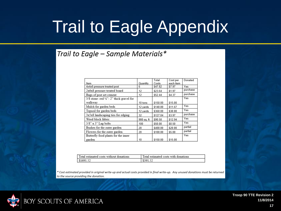#### Trail to Eagle - Sample Materials\*

|                                                      |            | Total    | Cost per  | Donated  |
|------------------------------------------------------|------------|----------|-----------|----------|
| Item                                                 | Quantity   | Costs    | each item |          |
| 4x4x8 pressure treated post                          | 6          | \$47.82  | \$7.97    | Yes      |
| 2x6x8 pressure treated board                         | 12         | \$23.64  | \$1.97    | purchase |
| Bags of post set cement                              | 12         | \$52.44  | \$4.37    | purchase |
| $3/8$ stone-red $\frac{1}{4}$ "- 2" thick gravel for |            |          |           | Yes      |
| walkway                                              | 10 tons    | \$150.00 | \$15.00   |          |
| Mulch for garden beds                                | 12 yards   | \$140.00 | \$11.67   | Yes      |
| Topsoil for garden beds                              | 12 yards   | \$360.00 | \$30.00   | Yes      |
| 3x5x8 landscaping ties for edging                    | 32         | \$127.04 | \$3.97    | purchase |
| Weed block fabric                                    | 980 sq. ft | \$90.58  | \$12.94   | Yes      |
| $3/8$ " x $3$ " Lag bolts                            | 100        | \$50.00  | \$0.50    | Yes      |
| Bushes for the outer garden                          | 20         | \$400.00 | \$20.00   | partial  |
| Flowers for the outer garden                         | 20         | \$100.00 | \$5.00    | partial  |
| Butterfly food plants for the inner                  |            |          |           | Yes      |
| garden                                               | 10         | \$150.00 | \$15.00   |          |

| estimated costs without donations.<br>Total | l estimated costs with donations |
|---------------------------------------------|----------------------------------|
|                                             |                                  |

\* Cost estimated provided in original write-up and actual costs provided in final write-up. Any unused donations must be returned to the source providing the donation.

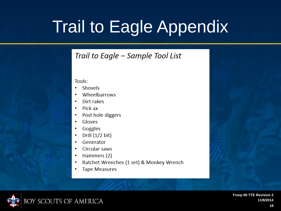#### Trail to Eagle - Sample Tool List

Tools:

- Shovels
- Wheelbarrows
- Dirt rakes
- Pick ax ٠
- Post hole diggers ٠
- Gloves
- Goggles
- Drill  $(1/2$  bit) ٠
- Generator
- Circular saws
- Hammers (2)
- Ratchet Wrenches (1 set) & Monkey Wrench
- **Tape Measures**

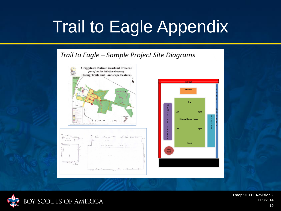#### Trail to Eagle - Sample Project Site Diagrams







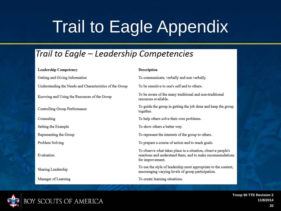#### Trail to Eagle – Leadership Competencies

#### **Leadership Competency**

Getting and Giving Information Understanding the Needs and Characteristics of the Group Knowing and Using the Resources of the Group Controlling Group Performance Counseling Setting the Example Representing the Group Problem Solving Evaluation Sharing Leadership

Manager of Learning

#### **Description**

To communicate, verbally and non verbally.

To be sensitive to one's self and to others.

To be aware of the many traditional and non-traditional resources available.

To guide the group in getting the job done and keep the group together.

To help others solve their own problems.

To show others a better way.

To represent the interests of the group to others.

To prepare a course of action and to reach goals.

To observe what takes place in a situation, observe people's reactions and understand them, and to make recommendations for improvement.

To use the style of leadership most appropriate to the context, encouraging varying levels of group participation.

To create learning situations.

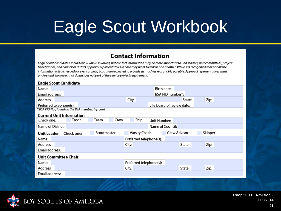#### **Contact Information**

Eagle Scout candidates should know who is involved, but contact information may be more important to unit leaders, unit committees, project beneficiaries, and council or district approval representatives in case they want to talk to one another. While it is recognized that not all the information will be needed for every project, Scouts are expected to provide as much as reasonably possible. Approval representatives must understand, however, that doing so is not part of the service project requirement.

| <b>Eagle Scout Candidate</b>                    |            |              |                         |                  |                            |         |  |
|-------------------------------------------------|------------|--------------|-------------------------|------------------|----------------------------|---------|--|
| Name:                                           |            |              |                         | Birth date:      |                            |         |  |
| Email address:                                  |            |              |                         |                  | BSA PID number*:           |         |  |
| Address:                                        |            |              | City:                   |                  | State:                     | Zip:    |  |
| Preferred telephone(s):                         |            |              |                         |                  | Life board of review date: |         |  |
| * BSA PID No., found on the BSA membership card |            |              |                         |                  |                            |         |  |
| <b>Current Unit Information</b>                 |            |              |                         |                  |                            |         |  |
| Check one:                                      | Troop      | Team<br>Crew | Ship                    | Unit Number:     |                            |         |  |
| Name of District:                               |            |              |                         | Name of Council: |                            |         |  |
| Unit Leader                                     | Check one: | Scoutmaster  | <b>Varsity Coach</b>    |                  | <b>Crew Advisor</b>        | Skipper |  |
| Name:                                           |            |              | Preferred telephone(s): |                  |                            |         |  |
| Address:                                        |            |              | City:                   |                  | State:                     | Zip:    |  |
| Email address:                                  |            |              |                         |                  |                            |         |  |
| Unit Committee Chair                            |            |              |                         |                  |                            |         |  |
| Name:                                           |            |              | Preferred telephone(s): |                  |                            |         |  |
| Address:                                        |            |              | City:                   |                  | State:                     | Zip:    |  |
| Email address:                                  |            |              |                         |                  |                            |         |  |

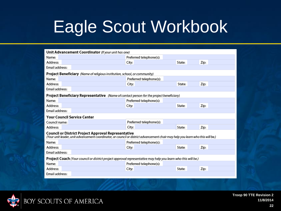| Unit Advancement Coordinator (If your unit has one)                                                                                                                                    |                         |        |      |  |  |  |
|----------------------------------------------------------------------------------------------------------------------------------------------------------------------------------------|-------------------------|--------|------|--|--|--|
| Name:                                                                                                                                                                                  | Preferred telephone(s): |        |      |  |  |  |
| Address:                                                                                                                                                                               | City:                   | State: | Zip: |  |  |  |
| Email address:                                                                                                                                                                         |                         |        |      |  |  |  |
| <b>Project Beneficiary</b> (Name of religious institution, school, or community)                                                                                                       |                         |        |      |  |  |  |
| Name:                                                                                                                                                                                  | Preferred telephone(s): |        |      |  |  |  |
| Address:                                                                                                                                                                               | City:                   | State: | Zip: |  |  |  |
| Email address:                                                                                                                                                                         |                         |        |      |  |  |  |
| <b>Project Beneficiary Representative</b> (Name of contact person for the project beneficiary)                                                                                         |                         |        |      |  |  |  |
| Name:                                                                                                                                                                                  | Preferred telephone(s): |        |      |  |  |  |
| Address:                                                                                                                                                                               | City:                   | State: | Zip: |  |  |  |
| Email address:                                                                                                                                                                         |                         |        |      |  |  |  |
| <b>Your Council Service Center</b>                                                                                                                                                     |                         |        |      |  |  |  |
| Council name:                                                                                                                                                                          | Preferred telephone(s): |        |      |  |  |  |
| Address:                                                                                                                                                                               | City:                   | State: | Zip: |  |  |  |
| Council or District Project Approval Representative<br>(Your unit leader, unit advancement coordinator, or council or district advancement chair may help you learn who this will be.) |                         |        |      |  |  |  |
| Name:                                                                                                                                                                                  | Preferred telephone(s): |        |      |  |  |  |
| Address:                                                                                                                                                                               | City:                   | State: | Zip: |  |  |  |
| Email address:                                                                                                                                                                         |                         |        |      |  |  |  |
| Project Coach (Your council or district project approval representative may help you learn who this will be.)                                                                          |                         |        |      |  |  |  |
| Name:                                                                                                                                                                                  | Preferred telephone(s): |        |      |  |  |  |
| Address:                                                                                                                                                                               | City:                   | State: | Zip: |  |  |  |
| Email address:                                                                                                                                                                         |                         |        |      |  |  |  |

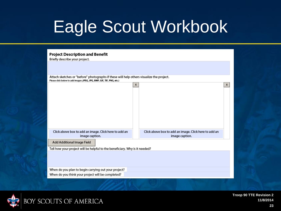| <b>Project Description and Benefit</b><br>Briefly describe your project.                                                                                           |   |                                                                         |   |  |  |  |
|--------------------------------------------------------------------------------------------------------------------------------------------------------------------|---|-------------------------------------------------------------------------|---|--|--|--|
|                                                                                                                                                                    |   |                                                                         |   |  |  |  |
| Attach sketches or "before" photographs if these will help others visualize the project.<br>Please click below to add images (JPEG, JPG, BMP, GIF, TIF, PNG, etc.) |   |                                                                         |   |  |  |  |
|                                                                                                                                                                    | X |                                                                         | x |  |  |  |
| Click above box to add an image. Click here to add an<br>image caption.                                                                                            |   | Click above box to add an image. Click here to add an<br>image caption. |   |  |  |  |
| Add Additional Image Field                                                                                                                                         |   |                                                                         |   |  |  |  |
| Tell how your project will be helpful to the beneficiary. Why is it needed?                                                                                        |   |                                                                         |   |  |  |  |
| When do you plan to begin carrying out your project?                                                                                                               |   |                                                                         |   |  |  |  |
| When do you think your project will be completed?                                                                                                                  |   |                                                                         |   |  |  |  |

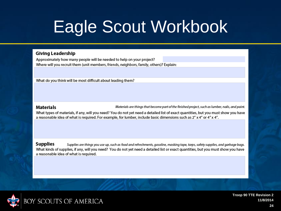#### **Giving Leadership**

Approximately how many people will be needed to help on your project? Where will you recruit them (unit members, friends, neighbors, family, others)? Explain:

What do you think will be most difficult about leading them?

#### **Materials**

Materials are things that become part of the finished project, such as lumber, nails, and paint.

What types of materials, if any, will you need? You do not yet need a detailed list of exact quantities, but you must show you have a reasonable idea of what is required. For example, for lumber, include basic dimensions such as 2" x 4" or 4" x 4".

**Supplies** Supplies are things you use up, such as food and refreshments, gasoline, masking tape, tarps, safety supplies, and garbage bags. What kinds of supplies, if any, will you need? You do not yet need a detailed list or exact quantities, but you must show you have a reasonable idea of what is required.

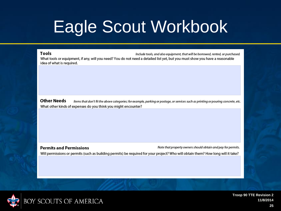#### **Tools**

Include tools, and also equipment, that will be borrowed, rented, or purchased. What tools or equipment, if any, will you need? You do not need a detailed list yet, but you must show you have a reasonable idea of what is required.

**Other Needs** Items that don't fit the above categories; for example, parking or postage, or services such as printing or pouring concrete, etc. What other kinds of expenses do you think you might encounter?

**Permits and Permissions** Note that property owners should obtain and pay for permits. Will permissions or permits (such as building permits) be required for your project? Who will obtain them? How long will it take?

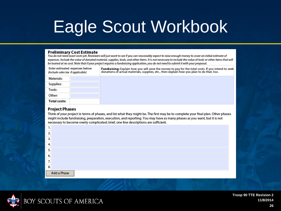#### **Preliminary Cost Estimate**

You do not need exact costs yet. Reviewers will just want to see if you can reasonably expect to raise enough money to cover an initial estimate of expenses. Include the value of donated material, supplies, tools, and other items. It is not necessary to include the value of tools or other items that will be loaned at no cost. Note that if your project requires a fundraising application, you do not need to submit it with your proposal.

| Enter estimated expenses below:<br>(Include sales tax if applicable) |  | <b>Fundraising:</b> Explain how you will raise the money to pay for the total costs. If you intend to seek<br>donations of actual materials, supplies, etc., then explain how you plan to do that, too. |
|----------------------------------------------------------------------|--|---------------------------------------------------------------------------------------------------------------------------------------------------------------------------------------------------------|
| Materials:                                                           |  |                                                                                                                                                                                                         |
| Supplies:                                                            |  |                                                                                                                                                                                                         |
| Tools:                                                               |  |                                                                                                                                                                                                         |
| Other:                                                               |  |                                                                                                                                                                                                         |
| Total costs:                                                         |  |                                                                                                                                                                                                         |

#### **Project Phases**

Think of your project in terms of phases, and list what they might be. The first may be to complete your final plan. Other phases might include fundraising, preparation, execution, and reporting. You may have as many phases as you want, but it is not necessary to become overly complicated; brief, one line descriptions are sufficient.

| ∍       |             |
|---------|-------------|
|         |             |
| г       |             |
| 6.      |             |
| ¬<br>,, |             |
| 8.      |             |
|         | Add a Phase |